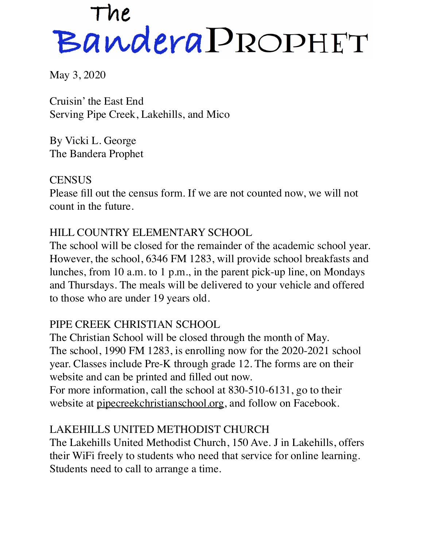# The<br>Bandera PROPHET

May 3, 2020

Cruisin' the East End Serving Pipe Creek, Lakehills, and Mico

By Vicki L. George The Bandera Prophet

**CENSUS** Please fill out the census form. If we are not counted now, we will not count in the future.

#### HILL COUNTRY ELEMENTARY SCHOOL

The school will be closed for the remainder of the academic school year. However, the school, 6346 FM 1283, will provide school breakfasts and lunches, from 10 a.m. to 1 p.m., in the parent pick-up line, on Mondays and Thursdays. The meals will be delivered to your vehicle and offered to those who are under 19 years old.

## PIPE CREEK CHRISTIAN SCHOOL

The Christian School will be closed through the month of May. The school, 1990 FM 1283, is enrolling now for the 2020-2021 school year. Classes include Pre-K through grade 12. The forms are on their website and can be printed and filled out now. For more information, call the school at 830-510-6131, go to their

website at [pipecreekchristianschool.org,](http://pipecreekchristianschool.org) and follow on Facebook.

## LAKEHILLS UNITED METHODIST CHURCH

The Lakehills United Methodist Church, 150 Ave. J in Lakehills, offers their WiFi freely to students who need that service for online learning. Students need to call to arrange a time.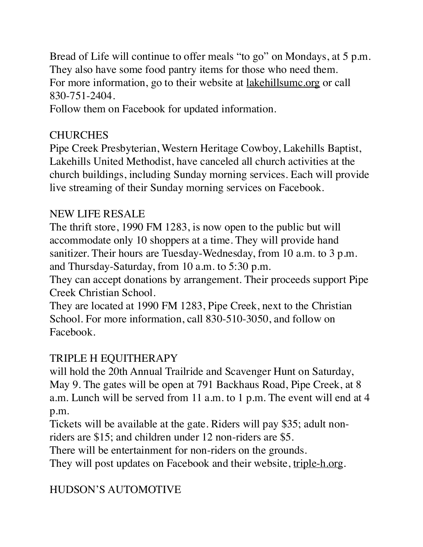Bread of Life will continue to offer meals "to go" on Mondays, at 5 p.m. They also have some food pantry items for those who need them. For more information, go to their website at [lakehillsumc.org](http://lakehillsumc.org) or call 830-751-2404.

Follow them on Facebook for updated information.

## **CHURCHES**

Pipe Creek Presbyterian, Western Heritage Cowboy, Lakehills Baptist, Lakehills United Methodist, have canceled all church activities at the church buildings, including Sunday morning services. Each will provide live streaming of their Sunday morning services on Facebook.

# NEW LIFE RESALE

The thrift store, 1990 FM 1283, is now open to the public but will accommodate only 10 shoppers at a time. They will provide hand sanitizer. Their hours are Tuesday-Wednesday, from 10 a.m. to 3 p.m. and Thursday-Saturday, from 10 a.m. to 5:30 p.m.

They can accept donations by arrangement. Their proceeds support Pipe Creek Christian School.

They are located at 1990 FM 1283, Pipe Creek, next to the Christian School. For more information, call 830-510-3050, and follow on Facebook.

# TRIPLE H EQUITHERAPY

will hold the 20th Annual Trailride and Scavenger Hunt on Saturday, May 9. The gates will be open at 791 Backhaus Road, Pipe Creek, at 8 a.m. Lunch will be served from 11 a.m. to 1 p.m. The event will end at 4 p.m.

Tickets will be available at the gate. Riders will pay \$35; adult non-

riders are \$15; and children under 12 non-riders are \$5.

There will be entertainment for non-riders on the grounds.

They will post updates on Facebook and their website, [triple-h.org.](http://triple-h.org)

# HUDSON'S AUTOMOTIVE